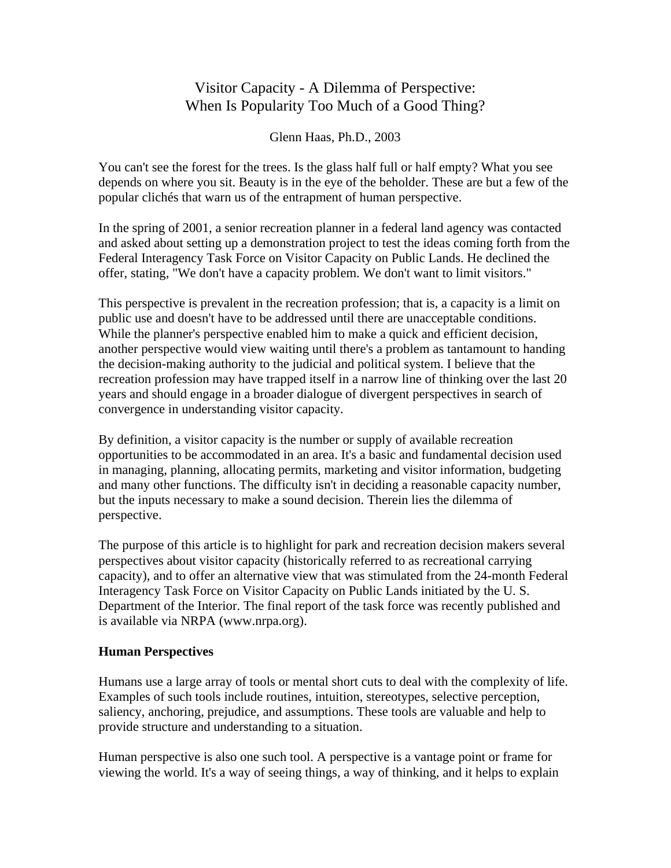# Visitor Capacity - A Dilemma of Perspective: When Is Popularity Too Much of a Good Thing?

Glenn Haas, Ph.D., 2003

You can't see the forest for the trees. Is the glass half full or half empty? What you see depends on where you sit. Beauty is in the eye of the beholder. These are but a few of the popular clichés that warn us of the entrapment of human perspective.

In the spring of 2001, a senior recreation planner in a federal land agency was contacted and asked about setting up a demonstration project to test the ideas coming forth from the Federal Interagency Task Force on Visitor Capacity on Public Lands. He declined the offer, stating, "We don't have a capacity problem. We don't want to limit visitors."

This perspective is prevalent in the recreation profession; that is, a capacity is a limit on public use and doesn't have to be addressed until there are unacceptable conditions. While the planner's perspective enabled him to make a quick and efficient decision, another perspective would view waiting until there's a problem as tantamount to handing the decision-making authority to the judicial and political system. I believe that the recreation profession may have trapped itself in a narrow line of thinking over the last 20 years and should engage in a broader dialogue of divergent perspectives in search of convergence in understanding visitor capacity.

By definition, a visitor capacity is the number or supply of available recreation opportunities to be accommodated in an area. It's a basic and fundamental decision used in managing, planning, allocating permits, marketing and visitor information, budgeting and many other functions. The difficulty isn't in deciding a reasonable capacity number, but the inputs necessary to make a sound decision. Therein lies the dilemma of perspective.

The purpose of this article is to highlight for park and recreation decision makers several perspectives about visitor capacity (historically referred to as recreational carrying capacity), and to offer an alternative view that was stimulated from the 24-month Federal Interagency Task Force on Visitor Capacity on Public Lands initiated by the U. S. Department of the Interior. The final report of the task force was recently published and is available via NRPA (www.nrpa.org).

## **Human Perspectives**

Humans use a large array of tools or mental short cuts to deal with the complexity of life. Examples of such tools include routines, intuition, stereotypes, selective perception, saliency, anchoring, prejudice, and assumptions. These tools are valuable and help to provide structure and understanding to a situation.

Human perspective is also one such tool. A perspective is a vantage point or frame for viewing the world. It's a way of seeing things, a way of thinking, and it helps to explain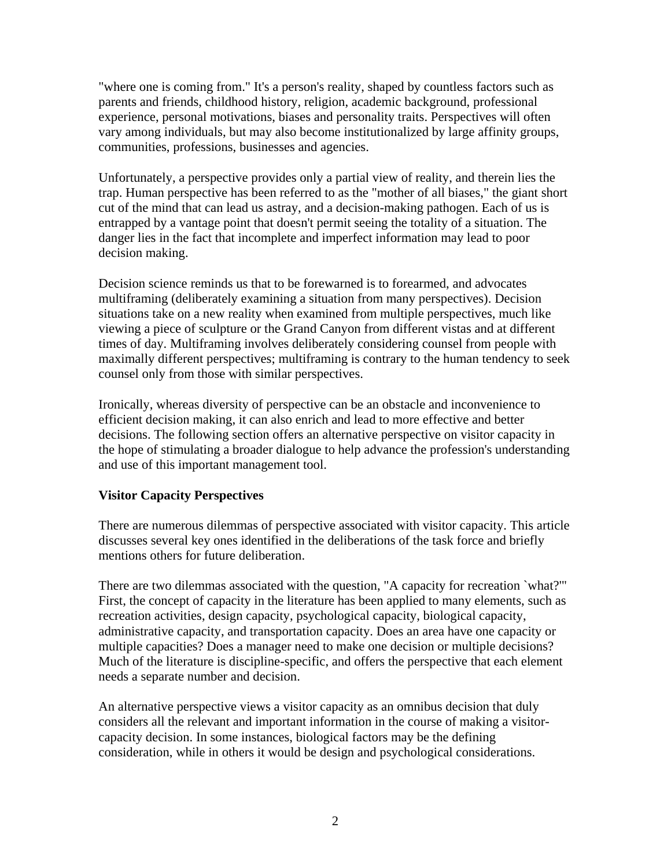"where one is coming from." It's a person's reality, shaped by countless factors such as parents and friends, childhood history, religion, academic background, professional experience, personal motivations, biases and personality traits. Perspectives will often vary among individuals, but may also become institutionalized by large affinity groups, communities, professions, businesses and agencies.

Unfortunately, a perspective provides only a partial view of reality, and therein lies the trap. Human perspective has been referred to as the "mother of all biases," the giant short cut of the mind that can lead us astray, and a decision-making pathogen. Each of us is entrapped by a vantage point that doesn't permit seeing the totality of a situation. The danger lies in the fact that incomplete and imperfect information may lead to poor decision making.

Decision science reminds us that to be forewarned is to forearmed, and advocates multiframing (deliberately examining a situation from many perspectives). Decision situations take on a new reality when examined from multiple perspectives, much like viewing a piece of sculpture or the Grand Canyon from different vistas and at different times of day. Multiframing involves deliberately considering counsel from people with maximally different perspectives; multiframing is contrary to the human tendency to seek counsel only from those with similar perspectives.

Ironically, whereas diversity of perspective can be an obstacle and inconvenience to efficient decision making, it can also enrich and lead to more effective and better decisions. The following section offers an alternative perspective on visitor capacity in the hope of stimulating a broader dialogue to help advance the profession's understanding and use of this important management tool.

## **Visitor Capacity Perspectives**

There are numerous dilemmas of perspective associated with visitor capacity. This article discusses several key ones identified in the deliberations of the task force and briefly mentions others for future deliberation.

There are two dilemmas associated with the question, "A capacity for recreation `what?'" First, the concept of capacity in the literature has been applied to many elements, such as recreation activities, design capacity, psychological capacity, biological capacity, administrative capacity, and transportation capacity. Does an area have one capacity or multiple capacities? Does a manager need to make one decision or multiple decisions? Much of the literature is discipline-specific, and offers the perspective that each element needs a separate number and decision.

An alternative perspective views a visitor capacity as an omnibus decision that duly considers all the relevant and important information in the course of making a visitorcapacity decision. In some instances, biological factors may be the defining consideration, while in others it would be design and psychological considerations.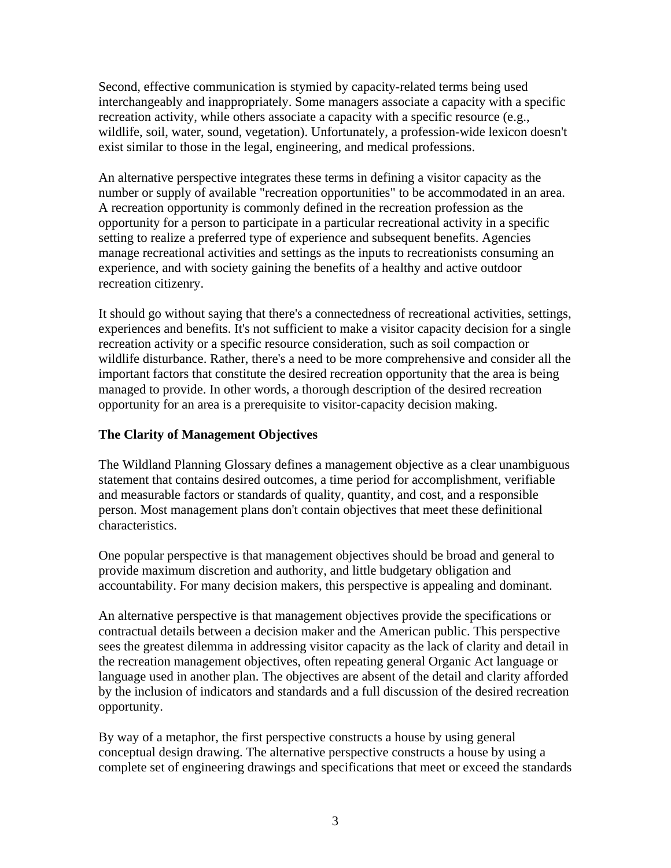Second, effective communication is stymied by capacity-related terms being used interchangeably and inappropriately. Some managers associate a capacity with a specific recreation activity, while others associate a capacity with a specific resource (e.g., wildlife, soil, water, sound, vegetation). Unfortunately, a profession-wide lexicon doesn't exist similar to those in the legal, engineering, and medical professions.

An alternative perspective integrates these terms in defining a visitor capacity as the number or supply of available "recreation opportunities" to be accommodated in an area. A recreation opportunity is commonly defined in the recreation profession as the opportunity for a person to participate in a particular recreational activity in a specific setting to realize a preferred type of experience and subsequent benefits. Agencies manage recreational activities and settings as the inputs to recreationists consuming an experience, and with society gaining the benefits of a healthy and active outdoor recreation citizenry.

It should go without saying that there's a connectedness of recreational activities, settings, experiences and benefits. It's not sufficient to make a visitor capacity decision for a single recreation activity or a specific resource consideration, such as soil compaction or wildlife disturbance. Rather, there's a need to be more comprehensive and consider all the important factors that constitute the desired recreation opportunity that the area is being managed to provide. In other words, a thorough description of the desired recreation opportunity for an area is a prerequisite to visitor-capacity decision making.

#### **The Clarity of Management Objectives**

The Wildland Planning Glossary defines a management objective as a clear unambiguous statement that contains desired outcomes, a time period for accomplishment, verifiable and measurable factors or standards of quality, quantity, and cost, and a responsible person. Most management plans don't contain objectives that meet these definitional characteristics.

One popular perspective is that management objectives should be broad and general to provide maximum discretion and authority, and little budgetary obligation and accountability. For many decision makers, this perspective is appealing and dominant.

An alternative perspective is that management objectives provide the specifications or contractual details between a decision maker and the American public. This perspective sees the greatest dilemma in addressing visitor capacity as the lack of clarity and detail in the recreation management objectives, often repeating general Organic Act language or language used in another plan. The objectives are absent of the detail and clarity afforded by the inclusion of indicators and standards and a full discussion of the desired recreation opportunity.

By way of a metaphor, the first perspective constructs a house by using general conceptual design drawing. The alternative perspective constructs a house by using a complete set of engineering drawings and specifications that meet or exceed the standards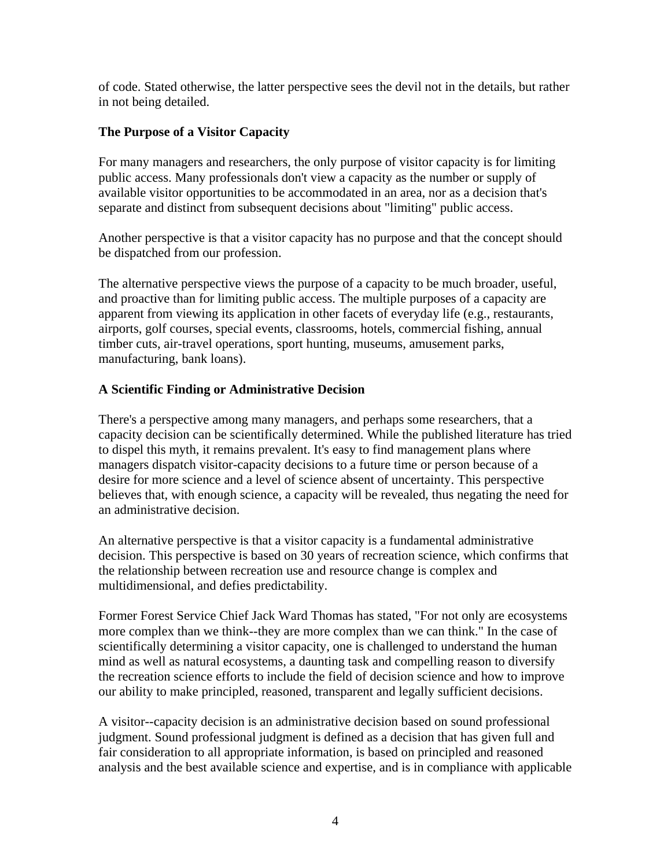of code. Stated otherwise, the latter perspective sees the devil not in the details, but rather in not being detailed.

#### **The Purpose of a Visitor Capacity**

For many managers and researchers, the only purpose of visitor capacity is for limiting public access. Many professionals don't view a capacity as the number or supply of available visitor opportunities to be accommodated in an area, nor as a decision that's separate and distinct from subsequent decisions about "limiting" public access.

Another perspective is that a visitor capacity has no purpose and that the concept should be dispatched from our profession.

The alternative perspective views the purpose of a capacity to be much broader, useful, and proactive than for limiting public access. The multiple purposes of a capacity are apparent from viewing its application in other facets of everyday life (e.g., restaurants, airports, golf courses, special events, classrooms, hotels, commercial fishing, annual timber cuts, air-travel operations, sport hunting, museums, amusement parks, manufacturing, bank loans).

## **A Scientific Finding or Administrative Decision**

There's a perspective among many managers, and perhaps some researchers, that a capacity decision can be scientifically determined. While the published literature has tried to dispel this myth, it remains prevalent. It's easy to find management plans where managers dispatch visitor-capacity decisions to a future time or person because of a desire for more science and a level of science absent of uncertainty. This perspective believes that, with enough science, a capacity will be revealed, thus negating the need for an administrative decision.

An alternative perspective is that a visitor capacity is a fundamental administrative decision. This perspective is based on 30 years of recreation science, which confirms that the relationship between recreation use and resource change is complex and multidimensional, and defies predictability.

Former Forest Service Chief Jack Ward Thomas has stated, "For not only are ecosystems more complex than we think--they are more complex than we can think." In the case of scientifically determining a visitor capacity, one is challenged to understand the human mind as well as natural ecosystems, a daunting task and compelling reason to diversify the recreation science efforts to include the field of decision science and how to improve our ability to make principled, reasoned, transparent and legally sufficient decisions.

A visitor--capacity decision is an administrative decision based on sound professional judgment. Sound professional judgment is defined as a decision that has given full and fair consideration to all appropriate information, is based on principled and reasoned analysis and the best available science and expertise, and is in compliance with applicable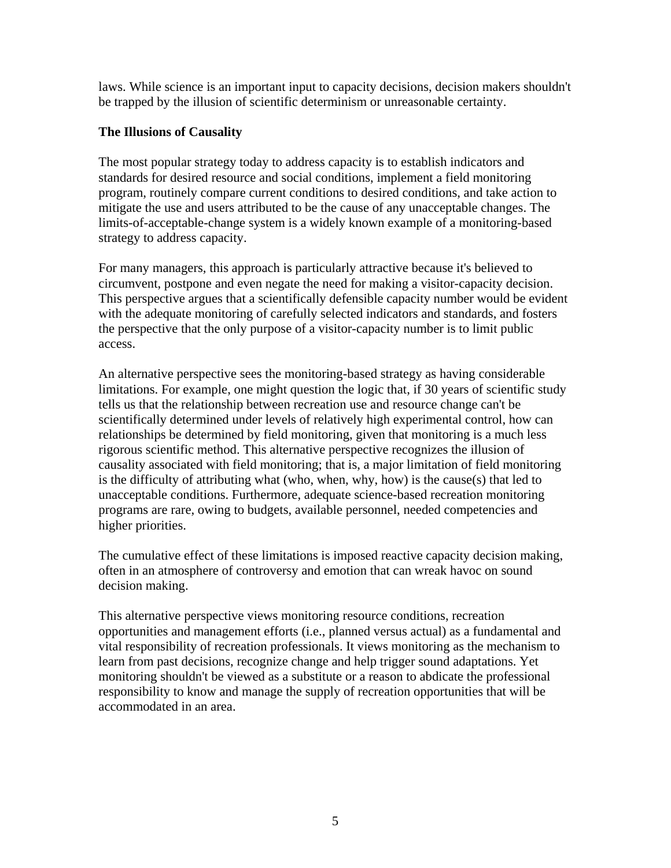laws. While science is an important input to capacity decisions, decision makers shouldn't be trapped by the illusion of scientific determinism or unreasonable certainty.

#### **The Illusions of Causality**

The most popular strategy today to address capacity is to establish indicators and standards for desired resource and social conditions, implement a field monitoring program, routinely compare current conditions to desired conditions, and take action to mitigate the use and users attributed to be the cause of any unacceptable changes. The limits-of-acceptable-change system is a widely known example of a monitoring-based strategy to address capacity.

For many managers, this approach is particularly attractive because it's believed to circumvent, postpone and even negate the need for making a visitor-capacity decision. This perspective argues that a scientifically defensible capacity number would be evident with the adequate monitoring of carefully selected indicators and standards, and fosters the perspective that the only purpose of a visitor-capacity number is to limit public access.

An alternative perspective sees the monitoring-based strategy as having considerable limitations. For example, one might question the logic that, if 30 years of scientific study tells us that the relationship between recreation use and resource change can't be scientifically determined under levels of relatively high experimental control, how can relationships be determined by field monitoring, given that monitoring is a much less rigorous scientific method. This alternative perspective recognizes the illusion of causality associated with field monitoring; that is, a major limitation of field monitoring is the difficulty of attributing what (who, when, why, how) is the cause(s) that led to unacceptable conditions. Furthermore, adequate science-based recreation monitoring programs are rare, owing to budgets, available personnel, needed competencies and higher priorities.

The cumulative effect of these limitations is imposed reactive capacity decision making, often in an atmosphere of controversy and emotion that can wreak havoc on sound decision making.

This alternative perspective views monitoring resource conditions, recreation opportunities and management efforts (i.e., planned versus actual) as a fundamental and vital responsibility of recreation professionals. It views monitoring as the mechanism to learn from past decisions, recognize change and help trigger sound adaptations. Yet monitoring shouldn't be viewed as a substitute or a reason to abdicate the professional responsibility to know and manage the supply of recreation opportunities that will be accommodated in an area.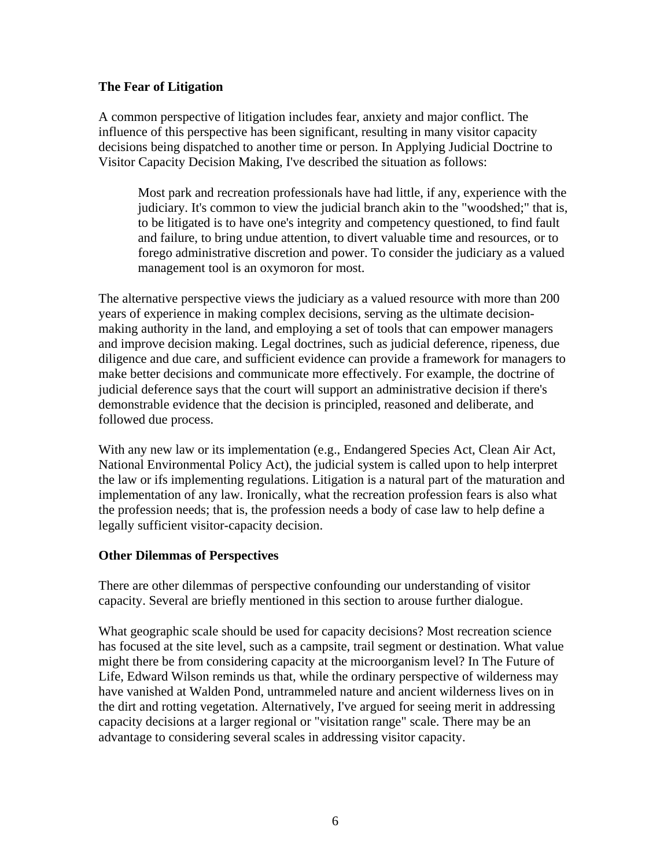#### **The Fear of Litigation**

A common perspective of litigation includes fear, anxiety and major conflict. The influence of this perspective has been significant, resulting in many visitor capacity decisions being dispatched to another time or person. In Applying Judicial Doctrine to Visitor Capacity Decision Making, I've described the situation as follows:

Most park and recreation professionals have had little, if any, experience with the judiciary. It's common to view the judicial branch akin to the "woodshed;" that is, to be litigated is to have one's integrity and competency questioned, to find fault and failure, to bring undue attention, to divert valuable time and resources, or to forego administrative discretion and power. To consider the judiciary as a valued management tool is an oxymoron for most.

The alternative perspective views the judiciary as a valued resource with more than 200 years of experience in making complex decisions, serving as the ultimate decisionmaking authority in the land, and employing a set of tools that can empower managers and improve decision making. Legal doctrines, such as judicial deference, ripeness, due diligence and due care, and sufficient evidence can provide a framework for managers to make better decisions and communicate more effectively. For example, the doctrine of judicial deference says that the court will support an administrative decision if there's demonstrable evidence that the decision is principled, reasoned and deliberate, and followed due process.

With any new law or its implementation (e.g., Endangered Species Act, Clean Air Act, National Environmental Policy Act), the judicial system is called upon to help interpret the law or ifs implementing regulations. Litigation is a natural part of the maturation and implementation of any law. Ironically, what the recreation profession fears is also what the profession needs; that is, the profession needs a body of case law to help define a legally sufficient visitor-capacity decision.

## **Other Dilemmas of Perspectives**

There are other dilemmas of perspective confounding our understanding of visitor capacity. Several are briefly mentioned in this section to arouse further dialogue.

What geographic scale should be used for capacity decisions? Most recreation science has focused at the site level, such as a campsite, trail segment or destination. What value might there be from considering capacity at the microorganism level? In The Future of Life, Edward Wilson reminds us that, while the ordinary perspective of wilderness may have vanished at Walden Pond, untrammeled nature and ancient wilderness lives on in the dirt and rotting vegetation. Alternatively, I've argued for seeing merit in addressing capacity decisions at a larger regional or "visitation range" scale. There may be an advantage to considering several scales in addressing visitor capacity.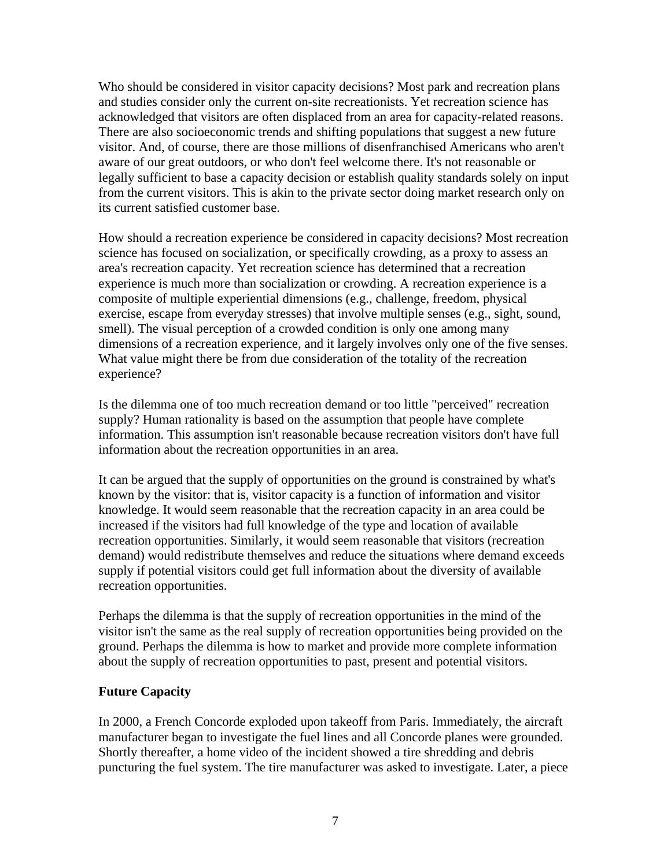Who should be considered in visitor capacity decisions? Most park and recreation plans and studies consider only the current on-site recreationists. Yet recreation science has acknowledged that visitors are often displaced from an area for capacity-related reasons. There are also socioeconomic trends and shifting populations that suggest a new future visitor. And, of course, there are those millions of disenfranchised Americans who aren't aware of our great outdoors, or who don't feel welcome there. It's not reasonable or legally sufficient to base a capacity decision or establish quality standards solely on input from the current visitors. This is akin to the private sector doing market research only on its current satisfied customer base.

How should a recreation experience be considered in capacity decisions? Most recreation science has focused on socialization, or specifically crowding, as a proxy to assess an area's recreation capacity. Yet recreation science has determined that a recreation experience is much more than socialization or crowding. A recreation experience is a composite of multiple experiential dimensions (e.g., challenge, freedom, physical exercise, escape from everyday stresses) that involve multiple senses (e.g., sight, sound, smell). The visual perception of a crowded condition is only one among many dimensions of a recreation experience, and it largely involves only one of the five senses. What value might there be from due consideration of the totality of the recreation experience?

Is the dilemma one of too much recreation demand or too little "perceived" recreation supply? Human rationality is based on the assumption that people have complete information. This assumption isn't reasonable because recreation visitors don't have full information about the recreation opportunities in an area.

It can be argued that the supply of opportunities on the ground is constrained by what's known by the visitor: that is, visitor capacity is a function of information and visitor knowledge. It would seem reasonable that the recreation capacity in an area could be increased if the visitors had full knowledge of the type and location of available recreation opportunities. Similarly, it would seem reasonable that visitors (recreation demand) would redistribute themselves and reduce the situations where demand exceeds supply if potential visitors could get full information about the diversity of available recreation opportunities.

Perhaps the dilemma is that the supply of recreation opportunities in the mind of the visitor isn't the same as the real supply of recreation opportunities being provided on the ground. Perhaps the dilemma is how to market and provide more complete information about the supply of recreation opportunities to past, present and potential visitors.

#### **Future Capacity**

In 2000, a French Concorde exploded upon takeoff from Paris. Immediately, the aircraft manufacturer began to investigate the fuel lines and all Concorde planes were grounded. Shortly thereafter, a home video of the incident showed a tire shredding and debris puncturing the fuel system. The tire manufacturer was asked to investigate. Later, a piece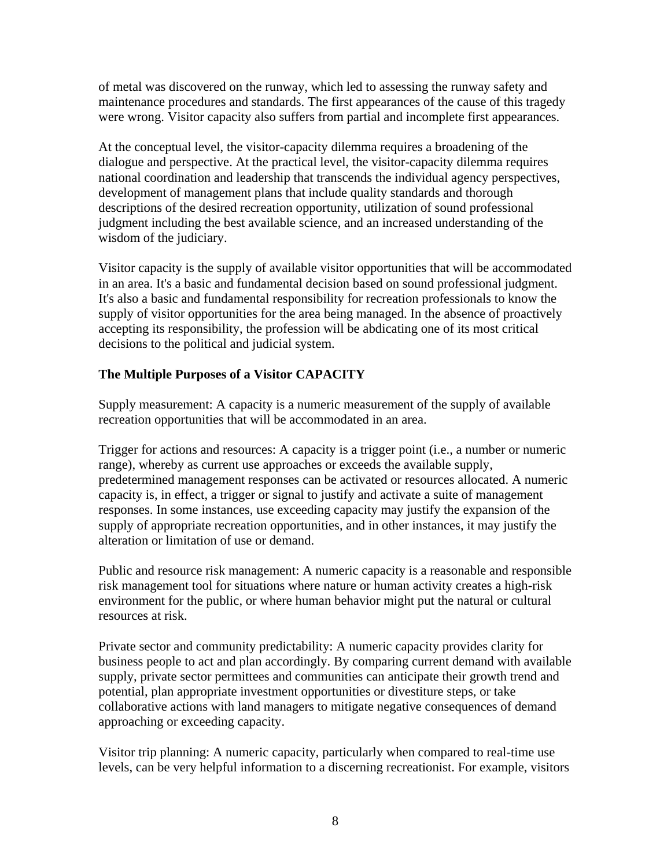of metal was discovered on the runway, which led to assessing the runway safety and maintenance procedures and standards. The first appearances of the cause of this tragedy were wrong. Visitor capacity also suffers from partial and incomplete first appearances.

At the conceptual level, the visitor-capacity dilemma requires a broadening of the dialogue and perspective. At the practical level, the visitor-capacity dilemma requires national coordination and leadership that transcends the individual agency perspectives, development of management plans that include quality standards and thorough descriptions of the desired recreation opportunity, utilization of sound professional judgment including the best available science, and an increased understanding of the wisdom of the judiciary.

Visitor capacity is the supply of available visitor opportunities that will be accommodated in an area. It's a basic and fundamental decision based on sound professional judgment. It's also a basic and fundamental responsibility for recreation professionals to know the supply of visitor opportunities for the area being managed. In the absence of proactively accepting its responsibility, the profession will be abdicating one of its most critical decisions to the political and judicial system.

# **The Multiple Purposes of a Visitor CAPACITY**

Supply measurement: A capacity is a numeric measurement of the supply of available recreation opportunities that will be accommodated in an area.

Trigger for actions and resources: A capacity is a trigger point (i.e., a number or numeric range), whereby as current use approaches or exceeds the available supply, predetermined management responses can be activated or resources allocated. A numeric capacity is, in effect, a trigger or signal to justify and activate a suite of management responses. In some instances, use exceeding capacity may justify the expansion of the supply of appropriate recreation opportunities, and in other instances, it may justify the alteration or limitation of use or demand.

Public and resource risk management: A numeric capacity is a reasonable and responsible risk management tool for situations where nature or human activity creates a high-risk environment for the public, or where human behavior might put the natural or cultural resources at risk.

Private sector and community predictability: A numeric capacity provides clarity for business people to act and plan accordingly. By comparing current demand with available supply, private sector permittees and communities can anticipate their growth trend and potential, plan appropriate investment opportunities or divestiture steps, or take collaborative actions with land managers to mitigate negative consequences of demand approaching or exceeding capacity.

Visitor trip planning: A numeric capacity, particularly when compared to real-time use levels, can be very helpful information to a discerning recreationist. For example, visitors